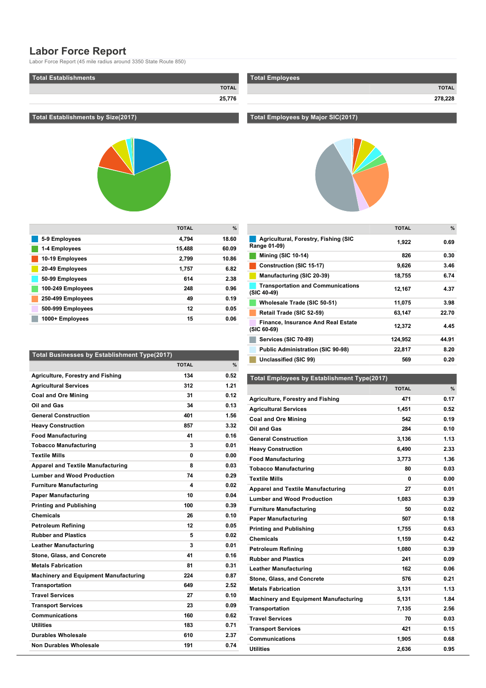# **Labor Force Report**

Labor Force Report (45 mile radius around 3350 State Route 850)

| Total Establishments |              |
|----------------------|--------------|
|                      | <b>TOTAL</b> |
|                      | 25,776       |

# **Total Establishments by Size(2017)**



|                   | <b>TOTAL</b> | $\frac{9}{6}$ |
|-------------------|--------------|---------------|
| 5-9 Employees     | 4,794        | 18.60         |
| 1-4 Employees     | 15,488       | 60.09         |
| 10-19 Employees   | 2,799        | 10.86         |
| 20-49 Employees   | 1.757        | 6.82          |
| 50-99 Employees   | 614          | 2.38          |
| 100-249 Employees | 248          | 0.96          |
| 250-499 Employees | 49           | 0.19          |
| 500-999 Employees | 12           | 0.05          |
| 1000+ Employees   | 15           | 0.06          |

| Total Businesses by Establishment Type(2017) |              |      |
|----------------------------------------------|--------------|------|
|                                              | <b>TOTAL</b> | $\%$ |
| <b>Agriculture, Forestry and Fishing</b>     | 134          | 0.52 |
| <b>Agricultural Services</b>                 | 312          | 1.21 |
| <b>Coal and Ore Mining</b>                   | 31           | 0.12 |
| Oil and Gas                                  | 34           | 0.13 |
| <b>General Construction</b>                  | 401          | 1.56 |
| <b>Heavy Construction</b>                    | 857          | 3.32 |
| <b>Food Manufacturing</b>                    | 41           | 0.16 |
| <b>Tobacco Manufacturing</b>                 | 3            | 0.01 |
| <b>Textile Mills</b>                         | U            | 0.00 |
| <b>Apparel and Textile Manufacturing</b>     | 8            | 0.03 |
| <b>Lumber and Wood Production</b>            | 74           | 0.29 |
| <b>Furniture Manufacturing</b>               | 4            | 0.02 |
| <b>Paper Manufacturing</b>                   | 10           | 0.04 |
| <b>Printing and Publishing</b>               | 100          | 0.39 |
| <b>Chemicals</b>                             | 26           | 0.10 |
| Petroleum Refining                           | 12           | 0.05 |
| <b>Rubber and Plastics</b>                   | 5            | 0.02 |
| <b>Leather Manufacturing</b>                 | 3            | 0.01 |
| Stone, Glass, and Concrete                   | 41           | 0.16 |
| <b>Metals Fabrication</b>                    | 81           | 0.31 |
| <b>Machinery and Equipment Manufacturing</b> | 224          | 0.87 |
| <b>Transportation</b>                        | 649          | 2.52 |
| <b>Travel Services</b>                       | 27           | 0.10 |
| <b>Transport Services</b>                    | 23           | 0.09 |
| Communications                               | 160          | 0.62 |
| Utilities                                    | 183          | 0.71 |
| Durables Wholesale                           | 610          | 2.37 |
| Non Durables Wholesale                       | 191          | 0.74 |
|                                              |              |      |

| Total Employees |              |
|-----------------|--------------|
|                 | <b>TOTAL</b> |
|                 | 278,228      |

#### **Total Employees by Major SIC(2017)**



| Agricultural, Forestry, Fishing (SIC<br>1,922<br>Range 01-09)<br><b>Mining (SIC 10-14)</b><br>826<br>Construction (SIC 15-17)<br>9,626<br>Manufacturing (SIC 20-39)<br>18,755<br><b>Transportation and Communications</b><br>12,167<br>(SIC 40-49)<br>Wholesale Trade (SIC 50-51)<br>11,075<br>Retail Trade (SIC 52-59)<br>63,147<br><b>Finance, Insurance And Real Estate</b><br>12,372<br>(SIC 60-69)<br>Services (SIC 70-89)<br>124.952<br><b>Public Administration (SIC 90-98)</b><br>22,817<br>Unclassified (SIC 99)<br>569 |  | <b>TOTAL</b> | $\%$  |
|----------------------------------------------------------------------------------------------------------------------------------------------------------------------------------------------------------------------------------------------------------------------------------------------------------------------------------------------------------------------------------------------------------------------------------------------------------------------------------------------------------------------------------|--|--------------|-------|
|                                                                                                                                                                                                                                                                                                                                                                                                                                                                                                                                  |  |              | 0.69  |
|                                                                                                                                                                                                                                                                                                                                                                                                                                                                                                                                  |  |              | 0.30  |
|                                                                                                                                                                                                                                                                                                                                                                                                                                                                                                                                  |  |              | 3.46  |
|                                                                                                                                                                                                                                                                                                                                                                                                                                                                                                                                  |  |              | 6.74  |
|                                                                                                                                                                                                                                                                                                                                                                                                                                                                                                                                  |  |              | 4.37  |
|                                                                                                                                                                                                                                                                                                                                                                                                                                                                                                                                  |  |              | 3.98  |
|                                                                                                                                                                                                                                                                                                                                                                                                                                                                                                                                  |  |              | 22.70 |
|                                                                                                                                                                                                                                                                                                                                                                                                                                                                                                                                  |  |              | 4.45  |
|                                                                                                                                                                                                                                                                                                                                                                                                                                                                                                                                  |  |              | 44.91 |
|                                                                                                                                                                                                                                                                                                                                                                                                                                                                                                                                  |  |              | 8.20  |
|                                                                                                                                                                                                                                                                                                                                                                                                                                                                                                                                  |  |              | 0.20  |

## **Total Employees by Establishment Type(2017)**

|                                              | <b>TOTAL</b> | %    |
|----------------------------------------------|--------------|------|
| <b>Agriculture, Forestry and Fishing</b>     | 471          | 0.17 |
| <b>Agricultural Services</b>                 | 1,451        | 0.52 |
| <b>Coal and Ore Mining</b>                   | 542          | 0.19 |
| Oil and Gas                                  | 284          | 0.10 |
| <b>General Construction</b>                  | 3.136        | 1.13 |
| <b>Heavy Construction</b>                    | 6,490        | 2.33 |
| <b>Food Manufacturing</b>                    | 3,773        | 1.36 |
| <b>Tobacco Manufacturing</b>                 | 80           | 0.03 |
| <b>Textile Mills</b>                         | 0            | 0.00 |
| <b>Apparel and Textile Manufacturing</b>     | 27           | 0.01 |
| <b>Lumber and Wood Production</b>            | 1,083        | 0.39 |
| <b>Furniture Manufacturing</b>               | 50           | 0.02 |
| <b>Paper Manufacturing</b>                   | 507          | 0.18 |
| <b>Printing and Publishing</b>               | 1,755        | 0.63 |
| <b>Chemicals</b>                             | 1.159        | 0.42 |
| <b>Petroleum Refining</b>                    | 1,080        | 0.39 |
| <b>Rubber and Plastics</b>                   | 241          | 0.09 |
| <b>Leather Manufacturing</b>                 | 162          | 0.06 |
| Stone, Glass, and Concrete                   | 576          | 0.21 |
| <b>Metals Fabrication</b>                    | 3,131        | 1.13 |
| <b>Machinery and Equipment Manufacturing</b> | 5,131        | 1.84 |
| <b>Transportation</b>                        | 7,135        | 2.56 |
| <b>Travel Services</b>                       | 70           | 0.03 |
| <b>Transport Services</b>                    | 421          | 0.15 |
| <b>Communications</b>                        | 1.905        | 0.68 |
| Utilities                                    | 2,636        | 0.95 |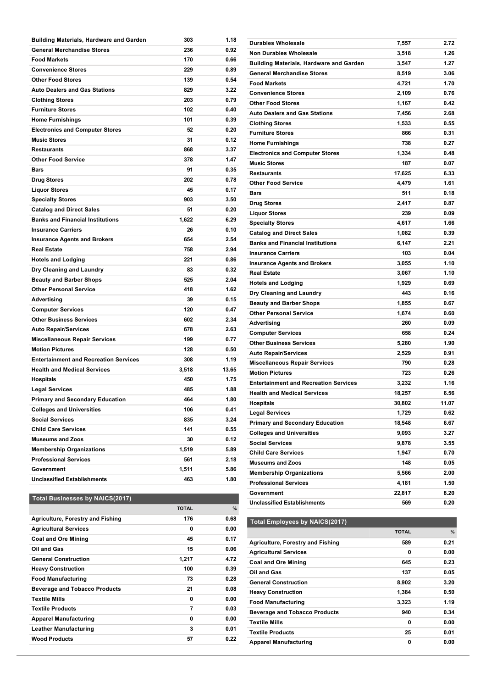| Building Materials, Hardware and Garden      | 303   | 1.18  |
|----------------------------------------------|-------|-------|
| <b>General Merchandise Stores</b>            | 236   | 0.92  |
| <b>Food Markets</b>                          | 170   | 0.66  |
| <b>Convenience Stores</b>                    | 229   | 0.89  |
| <b>Other Food Stores</b>                     | 139   | 0.54  |
| <b>Auto Dealers and Gas Stations</b>         | 829   | 3.22  |
| <b>Clothing Stores</b>                       | 203   | 0.79  |
| <b>Furniture Stores</b>                      | 102   | 0.40  |
| <b>Home Furnishings</b>                      | 101   | 0.39  |
| <b>Electronics and Computer Stores</b>       | 52    | 0.20  |
| <b>Music Stores</b>                          | 31    | 0.12  |
| <b>Restaurants</b>                           | 868   | 3.37  |
| <b>Other Food Service</b>                    | 378   | 1.47  |
| Bars                                         | 91    | 0.35  |
| <b>Drug Stores</b>                           | 202   | 0.78  |
| <b>Liquor Stores</b>                         | 45    | 0.17  |
| <b>Specialty Stores</b>                      | 903   | 3.50  |
| <b>Catalog and Direct Sales</b>              | 51    | 0.20  |
| <b>Banks and Financial Institutions</b>      | 1,622 | 6.29  |
| <b>Insurance Carriers</b>                    | 26    | 0.10  |
| <b>Insurance Agents and Brokers</b>          | 654   | 2.54  |
| <b>Real Estate</b>                           | 758   | 2.94  |
| <b>Hotels and Lodging</b>                    | 221   | 0.86  |
| Dry Cleaning and Laundry                     | 83    | 0.32  |
| <b>Beauty and Barber Shops</b>               | 525   | 2.04  |
| <b>Other Personal Service</b>                | 418   | 1.62  |
| Advertising                                  | 39    | 0.15  |
| <b>Computer Services</b>                     | 120   | 0.47  |
| <b>Other Business Services</b>               | 602   | 2.34  |
| <b>Auto Repair/Services</b>                  | 678   | 2.63  |
| <b>Miscellaneous Repair Services</b>         | 199   | 0.77  |
| <b>Motion Pictures</b>                       | 128   | 0.50  |
| <b>Entertainment and Recreation Services</b> | 308   | 1.19  |
| <b>Health and Medical Services</b>           | 3,518 | 13.65 |
| <b>Hospitals</b>                             | 450   | 1.75  |
| <b>Legal Services</b>                        | 485   | 1.88  |
| <b>Primary and Secondary Education</b>       | 464   | 1.80  |
| <b>Colleges and Universities</b>             | 106   | 0.41  |
| <b>Social Services</b>                       | 835   | 3.24  |
| <b>Child Care Services</b>                   | 141   | 0.55  |
| <b>Museums and Zoos</b>                      | 30    | 0.12  |
| <b>Membership Organizations</b>              | 1,519 | 5.89  |
| <b>Professional Services</b>                 | 561   | 2.18  |
| Government                                   | 1,511 | 5.86  |
| <b>Unclassified Establishments</b>           | 463   | 1.80  |
|                                              |       |       |

#### **Real Estate 3,067 1.10 Hotels and Lodging 1,929 0.69 Dry Cleaning and Laundry <b>443 16 16 443 0.16 Beauty and Barber Shops 1,855 0.67 Other Personal Service 1,674 0.60 Advertising 260 0.09 Computer Services 658 0.24 Other Business Services 5,280 1.90 Auto Repair/Services 2,529 0.91 Miscellaneous Repair Services 790 0.28 Motion Pictures 723 0.26 Entertainment and Recreation Services 3,232 1.16 Health and Medical Services 18,257 6.56 Hospitals 30,802 11.07 Legal Services 1,729 0.62 Primary and Secondary Education 18,548 6.67 Colleges and Universities 9,093 3.27 Social Services 9,878 3.55 Child Care Services 1,947 0.70 Museums and Zoos 148 0.05 Membership Organizations 5,566 2.00 Professional Services 4,181 1.50 Government 22,817 8.20 Unclassified Establishments 569 0.20**

**Durables Wholesale 7,557 2.72 Non Durables Wholesale 3,518 1.26 Building Materials, Hardware and Garden 3,547 1.27 General Merchandise Stores 8,519 3.06 Food Markets 4,721 1.70 Convenience Stores 2,109 0.76 Other Food Stores 1,167 0.42 Auto Dealers and Gas Stations 7,456 2.68 Clothing Stores 1,533 0.55 Furniture Stores 866 0.31 Home Furnishings 738 0.27 Electronics and Computer Stores 1,334 0.48 Music Stores 187 0.07 Restaurants 17,625 6.33 Other Food Service 4,479 1.61 Bars 511 0.18 Drug Stores 2,417 0.87 Liquor Stores 239 0.09 Specialty Stores 4,617 1.66 Catalog and Direct Sales 1,082 0.39 Banks and Financial Institutions 6,147 2.21 Insurance Carriers 103 0.04 Insurance Agents and Brokers 3,055 1.10**

#### **Total Businesses by NAICS(2017)**

|                                          | <b>TOTAL</b> | %    |
|------------------------------------------|--------------|------|
| <b>Agriculture, Forestry and Fishing</b> | 176          | 0.68 |
| <b>Agricultural Services</b>             | 0            | 0.00 |
| <b>Coal and Ore Mining</b>               | 45           | 0.17 |
| Oil and Gas                              | 15           | 0.06 |
| <b>General Construction</b>              | 1,217        | 4.72 |
| <b>Heavy Construction</b>                | 100          | 0.39 |
| <b>Food Manufacturing</b>                | 73           | 0.28 |
| <b>Beverage and Tobacco Products</b>     | 21           | 0.08 |
| <b>Textile Mills</b>                     | 0            | 0.00 |
| <b>Textile Products</b>                  | 7            | 0.03 |
| <b>Apparel Manufacturing</b>             | 0            | 0.00 |
| <b>Leather Manufacturing</b>             | 3            | 0.01 |
| <b>Wood Products</b>                     | 57           | 0.22 |

## **Total Employees by NAICS(2017)**

|                                      | <b>TOTAL</b> | $\%$ |
|--------------------------------------|--------------|------|
| Agriculture, Forestry and Fishing    | 589          | 0.21 |
| <b>Agricultural Services</b>         | 0            | 0.00 |
| <b>Coal and Ore Mining</b>           | 645          | 0.23 |
| Oil and Gas                          | 137          | 0.05 |
| <b>General Construction</b>          | 8,902        | 3.20 |
| <b>Heavy Construction</b>            | 1.384        | 0.50 |
| <b>Food Manufacturing</b>            | 3,323        | 1.19 |
| <b>Beverage and Tobacco Products</b> | 940          | 0.34 |
| <b>Textile Mills</b>                 | 0            | 0.00 |
| <b>Textile Products</b>              | 25           | 0.01 |
| <b>Apparel Manufacturing</b>         | 0            | 0.00 |

**Leather Manufacturing 162 0.06**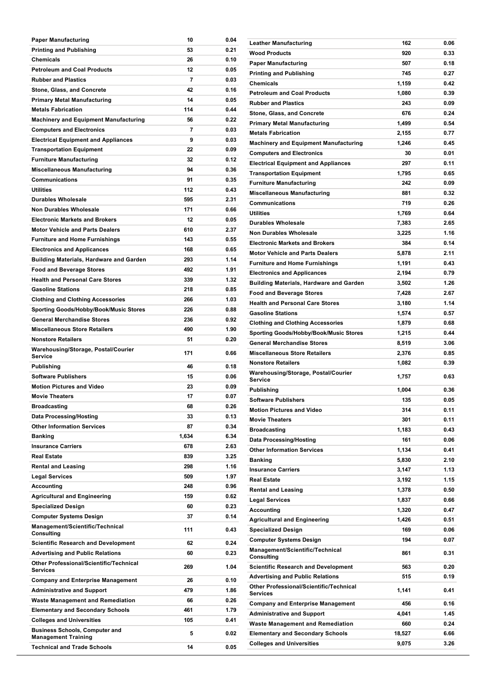| <b>Paper Manufacturing</b>                                       | 10      | 0.04         |
|------------------------------------------------------------------|---------|--------------|
| <b>Printing and Publishing</b>                                   | 53      | 0.21         |
| Chemicals                                                        | 26      | 0.10         |
| <b>Petroleum and Coal Products</b>                               | 12      | 0.05         |
| <b>Rubber and Plastics</b>                                       | 7       | 0.03         |
| Stone, Glass, and Concrete                                       | 42      | 0.16         |
| Primary Metal Manufacturing                                      | 14      | 0.05         |
| <b>Metals Fabrication</b>                                        | 114     | 0.44         |
| <b>Machinery and Equipment Manufacturing</b>                     | 56      | 0.22         |
| <b>Computers and Electronics</b>                                 | 7       | 0.03         |
| <b>Electrical Equipment and Appliances</b>                       | 9       | 0.03         |
|                                                                  | 22      | 0.09         |
| <b>Transportation Equipment</b>                                  | 32      | 0.12         |
| <b>Furniture Manufacturing</b>                                   |         |              |
| <b>Miscellaneous Manufacturing</b>                               | 94      | 0.36         |
| <b>Communications</b>                                            | 91      | 0.35         |
| Utilities                                                        | 112     | 0.43         |
| <b>Durables Wholesale</b>                                        | 595     | 2.31         |
| <b>Non Durables Wholesale</b>                                    | 171     | 0.66         |
| <b>Electronic Markets and Brokers</b>                            | 12      | 0.05         |
| <b>Motor Vehicle and Parts Dealers</b>                           | 610     | 2.37         |
| <b>Furniture and Home Furnishings</b>                            | 143     | 0.55         |
| <b>Electronics and Applicances</b>                               | 168     | 0.65         |
| <b>Building Materials, Hardware and Garden</b>                   | 293     | 1.14         |
| <b>Food and Beverage Stores</b>                                  | 492     | 1.91         |
| <b>Health and Personal Care Stores</b>                           | 339     | 1.32         |
| <b>Gasoline Stations</b>                                         | 218     | 0.85         |
| <b>Clothing and Clothing Accessories</b>                         | 266     | 1.03         |
| Sporting Goods/Hobby/Book/Music Stores                           | 226     | 0.88         |
| <b>General Merchandise Stores</b>                                | 236     | 0.92         |
|                                                                  |         |              |
| <b>Miscellaneous Store Retailers</b>                             | 490     | 1.90         |
| <b>Nonstore Retailers</b>                                        | 51      | 0.20         |
|                                                                  |         |              |
| Warehousing/Storage, Postal/Courier<br>Service                   | 171     | 0.66         |
| Publishing                                                       | 46      | 0.18         |
| <b>Software Publishers</b>                                       | 15      | 0.06         |
| <b>Motion Pictures and Video</b>                                 | 23      | 0.09         |
| <b>Movie Theaters</b>                                            | 17      | 0.07         |
| Broadcasting                                                     | 68      | 0.26         |
| <b>Data Processing/Hosting</b>                                   | 33      | 0.13         |
| <b>Other Information Services</b>                                | 87      | 0.34         |
| Banking                                                          | 1,634   | 6.34         |
| <b>Insurance Carriers</b>                                        | 678     | 2.63         |
| <b>Real Estate</b>                                               | 839     | 3.25         |
|                                                                  | 298     | 1.16         |
| <b>Rental and Leasing</b>                                        | 509     | 1.97         |
| <b>Legal Services</b>                                            |         |              |
| Accounting                                                       | 248     | 0.96         |
| <b>Agricultural and Engineering</b>                              | 159     | 0.62         |
| <b>Specialized Design</b>                                        | 60      | 0.23         |
| <b>Computer Systems Design</b>                                   | 37      | 0.14         |
| Management/Scientific/Technical<br>Consulting                    | 111     | 0.43         |
| <b>Scientific Research and Development</b>                       | 62      | 0.24         |
| <b>Advertising and Public Relations</b>                          | 60      | 0.23         |
| <b>Other Professional/Scientific/Technical</b><br>Services       | 269     | 1.04         |
| <b>Company and Enterprise Management</b>                         | 26      | 0.10         |
| <b>Administrative and Support</b>                                | 479     | 1.86         |
| <b>Waste Management and Remediation</b>                          | 66      | 0.26         |
| <b>Elementary and Secondary Schools</b>                          | 461     | 1.79         |
| <b>Colleges and Universities</b>                                 | 105     | 0.41         |
| <b>Business Schools, Computer and</b>                            |         |              |
| <b>Management Training</b><br><b>Technical and Trade Schools</b> | 5<br>14 | 0.02<br>0.05 |

**Educational Services 102 0.40**

| Leather Manufacturing                                                              | 162    | 0.06 |
|------------------------------------------------------------------------------------|--------|------|
| Wood Products                                                                      | 920    | 0.33 |
| Paper Manufacturing                                                                | 507    | 0.18 |
| Printing and Publishing                                                            | 745    | 0.27 |
| Chemicals                                                                          | 1,159  | 0.42 |
| <b>Petroleum and Coal Products</b>                                                 | 1,080  | 0.39 |
| <b>Rubber and Plastics</b>                                                         | 243    | 0.09 |
| Stone, Glass, and Concrete                                                         | 676    | 0.24 |
| Primary Metal Manufacturing                                                        | 1,499  | 0.54 |
| <b>Metals Fabrication</b>                                                          | 2,155  | 0.77 |
| <b>Machinery and Equipment Manufacturing</b>                                       | 1,246  | 0.45 |
| <b>Computers and Electronics</b>                                                   | 30     | 0.01 |
| Electrical Equipment and Appliances                                                | 297    | 0.11 |
| Transportation Equipment                                                           | 1,795  | 0.65 |
| <b>Furniture Manufacturing</b>                                                     | 242    | 0.09 |
| Miscellaneous Manufacturing                                                        | 881    | 0.32 |
| Communications                                                                     | 719    | 0.26 |
| Utilities                                                                          | 1,769  | 0.64 |
| Durables Wholesale                                                                 | 7,383  | 2.65 |
| Non Durables Wholesale                                                             | 3,225  | 1.16 |
| <b>Electronic Markets and Brokers</b>                                              | 384    | 0.14 |
| Motor Vehicle and Parts Dealers                                                    | 5,878  | 2.11 |
| <b>Furniture and Home Furnishings</b>                                              | 1,191  | 0.43 |
| <b>Electronics and Applicances</b>                                                 | 2,194  | 0.79 |
| Building Materials, Hardware and Garden                                            | 3,502  | 1.26 |
| Food and Beverage Stores                                                           | 7,428  | 2.67 |
| Health and Personal Care Stores                                                    | 3,180  | 1.14 |
|                                                                                    |        |      |
| <b>Gasoline Stations</b>                                                           | 1,574  | 0.57 |
| Clothing and Clothing Accessories                                                  | 1,879  | 0.68 |
| Sporting Goods/Hobby/Book/Music Stores                                             | 1,215  | 0.44 |
| General Merchandise Stores                                                         | 8,519  | 3.06 |
| <b>Miscellaneous Store Retailers</b>                                               | 2,376  | 0.85 |
| <b>Nonstore Retailers</b>                                                          | 1,082  | 0.39 |
| Warehousing/Storage, Postal/Courier<br>Service                                     | 1,757  | 0.63 |
| Publishing                                                                         | 1,004  | 0.36 |
| Software Publishers                                                                | 135    | 0.05 |
| Motion Pictures and Video                                                          | 314    | 0.11 |
| <b>Movie Theaters</b>                                                              | 301    | 0.11 |
| Broadcasting                                                                       | 1,183  | 0.43 |
| Data Processing/Hosting                                                            | 161    | 0.06 |
| <b>Other Information Services</b>                                                  | 1,134  | 0.41 |
| Banking                                                                            | 5,830  | 2.10 |
| <b>Insurance Carriers</b>                                                          | 3,147  | 1.13 |
| Real Estate                                                                        | 3,192  | 1.15 |
| <b>Rental and Leasing</b>                                                          | 1,378  | 0.50 |
| <b>Legal Services</b>                                                              | 1,837  | 0.66 |
| Accounting                                                                         | 1,320  | 0.47 |
| <b>Agricultural and Engineering</b>                                                | 1,426  | 0.51 |
| Specialized Design                                                                 | 169    | 0.06 |
| Computer Systems Design                                                            | 194    | 0.07 |
| Management/Scientific/Technical<br>Consulting                                      | 861    | 0.31 |
|                                                                                    | 563    |      |
| <b>Scientific Research and Development</b>                                         | 515    | 0.20 |
| <b>Advertising and Public Relations</b><br>Other Professional/Scientific/Technical |        | 0.19 |
| Services                                                                           | 1,141  | 0.41 |
| <b>Company and Enterprise Management</b>                                           | 456    | 0.16 |
| <b>Administrative and Support</b>                                                  | 4,041  | 1.45 |
| Waste Management and Remediation                                                   | 660    | 0.24 |
| <b>Elementary and Secondary Schools</b>                                            | 18,527 | 6.66 |
| Colleges and Universities                                                          | 9,075  | 3.26 |
|                                                                                    |        |      |

**Management Training <sup>64</sup> 0.02**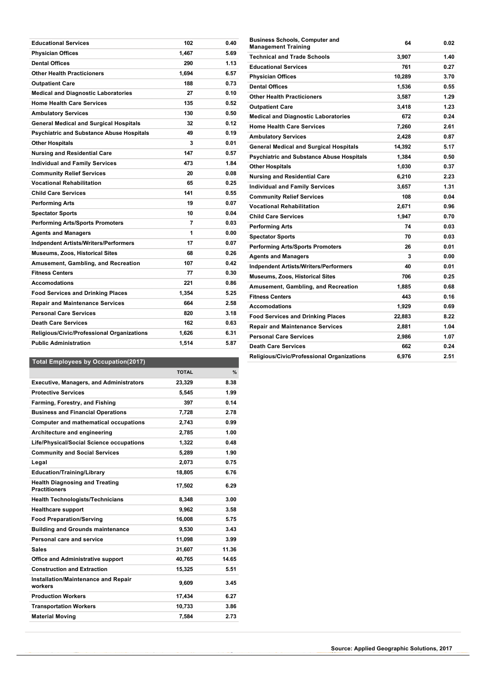| <b>Educational Services</b>                       | 102   | 0.40 |
|---------------------------------------------------|-------|------|
| <b>Physician Offices</b>                          | 1,467 | 5.69 |
| <b>Dental Offices</b>                             | 290   | 1.13 |
| <b>Other Health Practicioners</b>                 | 1,694 | 6.57 |
| <b>Outpatient Care</b>                            | 188   | 0.73 |
| <b>Medical and Diagnostic Laboratories</b>        | 27    | 0.10 |
| <b>Home Health Care Services</b>                  | 135   | 0.52 |
| <b>Ambulatory Services</b>                        | 130   | 0.50 |
| <b>General Medical and Surgical Hospitals</b>     | 32    | 0.12 |
| <b>Psychiatric and Substance Abuse Hospitals</b>  | 49    | 0.19 |
| <b>Other Hospitals</b>                            | 3     | 0.01 |
| <b>Nursing and Residential Care</b>               | 147   | 0.57 |
| <b>Individual and Family Services</b>             | 473   | 1.84 |
| <b>Community Relief Services</b>                  | 20    | 0.08 |
| <b>Vocational Rehabilitation</b>                  | 65    | 0.25 |
| <b>Child Care Services</b>                        | 141   | 0.55 |
| Performing Arts                                   | 19    | 0.07 |
| <b>Spectator Sports</b>                           | 10    | 0.04 |
| <b>Performing Arts/Sports Promoters</b>           | 7     | 0.03 |
| <b>Agents and Managers</b>                        | 1     | 0.00 |
| <b>Indpendent Artists/Writers/Performers</b>      | 17    | 0.07 |
| <b>Museums, Zoos, Historical Sites</b>            | 68    | 0.26 |
| Amusement, Gambling, and Recreation               | 107   | 0.42 |
| <b>Fitness Centers</b>                            | 77    | 0.30 |
| <b>Accomodations</b>                              | 221   | 0.86 |
| <b>Food Services and Drinking Places</b>          | 1.354 | 5.25 |
| <b>Repair and Maintenance Services</b>            | 664   | 2.58 |
| <b>Personal Care Services</b>                     | 820   | 3.18 |
| <b>Death Care Services</b>                        | 162   | 0.63 |
| <b>Religious/Civic/Professional Organizations</b> | 1,626 | 6.31 |
| <b>Public Administration</b>                      | 1,514 | 5.87 |
|                                                   |       |      |

| <b>Business Schools, Computer and</b><br><b>Management Training</b> | 64     | 0.02 |
|---------------------------------------------------------------------|--------|------|
| <b>Technical and Trade Schools</b>                                  | 3,907  | 1.40 |
| <b>Educational Services</b>                                         | 761    | 0.27 |
| <b>Physician Offices</b>                                            | 10,289 | 3.70 |
| <b>Dental Offices</b>                                               | 1,536  | 0.55 |
| <b>Other Health Practicioners</b>                                   | 3,587  | 1.29 |
| <b>Outpatient Care</b>                                              | 3,418  | 1.23 |
| <b>Medical and Diagnostic Laboratories</b>                          | 672    | 0.24 |
| <b>Home Health Care Services</b>                                    | 7,260  | 2.61 |
| <b>Ambulatory Services</b>                                          | 2,428  | 0.87 |
| <b>General Medical and Surgical Hospitals</b>                       | 14,392 | 5.17 |
| <b>Psychiatric and Substance Abuse Hospitals</b>                    | 1,384  | 0.50 |
| <b>Other Hospitals</b>                                              | 1,030  | 0.37 |
| <b>Nursing and Residential Care</b>                                 | 6,210  | 2.23 |
| <b>Individual and Family Services</b>                               | 3,657  | 1.31 |
| <b>Community Relief Services</b>                                    | 108    | 0.04 |
| <b>Vocational Rehabilitation</b>                                    | 2,671  | 0.96 |
| <b>Child Care Services</b>                                          | 1,947  | 0.70 |
| <b>Performing Arts</b>                                              | 74     | 0.03 |
| <b>Spectator Sports</b>                                             | 70     | 0.03 |
| <b>Performing Arts/Sports Promoters</b>                             | 26     | 0.01 |
| <b>Agents and Managers</b>                                          | 3      | 0.00 |
| <b>Indpendent Artists/Writers/Performers</b>                        | 40     | 0.01 |
| <b>Museums, Zoos, Historical Sites</b>                              | 706    | 0.25 |
| Amusement, Gambling, and Recreation                                 | 1,885  | 0.68 |
| <b>Fitness Centers</b>                                              | 443    | 0.16 |
| <b>Accomodations</b>                                                | 1,929  | 0.69 |
| <b>Food Services and Drinking Places</b>                            | 22,883 | 8.22 |
| <b>Repair and Maintenance Services</b>                              | 2,881  | 1.04 |
| <b>Personal Care Services</b>                                       | 2,986  | 1.07 |
| <b>Death Care Services</b>                                          | 662    | 0.24 |
| Religious/Civic/Professional Organizations                          | 6.976  | 2.51 |

## **Total Employees by Occupation(2017)**

|                                                               | <b>TOTAL</b> | %     |
|---------------------------------------------------------------|--------------|-------|
| <b>Executive, Managers, and Administrators</b>                | 23,329       | 8.38  |
| <b>Protective Services</b>                                    | 5,545        | 1.99  |
| Farming, Forestry, and Fishing                                | 397          | 0.14  |
| <b>Business and Financial Operations</b>                      | 7,728        | 2.78  |
| <b>Computer and mathematical occupations</b>                  | 2.743        | 0.99  |
| Architecture and engineering                                  | 2,785        | 1.00  |
| Life/Physical/Social Science occupations                      | 1.322        | 0.48  |
| <b>Community and Social Services</b>                          | 5,289        | 1.90  |
| Legal                                                         | 2,073        | 0.75  |
| <b>Education/Training/Library</b>                             | 18,805       | 6.76  |
| <b>Health Diagnosing and Treating</b><br><b>Practitioners</b> | 17,502       | 6.29  |
| <b>Health Technologists/Technicians</b>                       | 8,348        | 3.00  |
| <b>Healthcare support</b>                                     | 9.962        | 3.58  |
| <b>Food Preparation/Serving</b>                               | 16,008       | 5.75  |
| <b>Building and Grounds maintenance</b>                       | 9.530        | 3.43  |
| Personal care and service                                     | 11.098       | 3.99  |
| Sales                                                         | 31.607       | 11.36 |
| <b>Office and Administrative support</b>                      | 40,765       | 14.65 |
| <b>Construction and Extraction</b>                            | 15,325       | 5.51  |
| Installation/Maintenance and Repair<br>workers                | 9.609        | 3.45  |
| <b>Production Workers</b>                                     | 17,434       | 6.27  |
| <b>Transportation Workers</b>                                 | 10,733       | 3.86  |
| <b>Material Moving</b>                                        | 7,584        | 2.73  |
|                                                               |              |       |